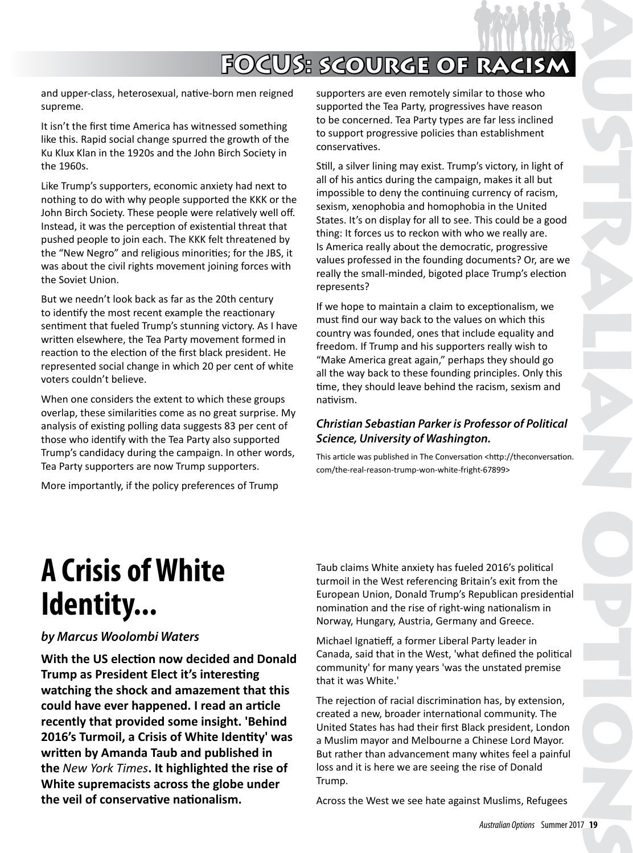# **FOCUS: scourge of racism**

and upper-class, heterosexual, native-born men reigned supreme.

It isn't the first time America has witnessed something like this. Rapid social change spurred the growth of the Ku Klux Klan in the 1920s and the John Birch Society in the 1960s.

Like Trump's supporters, economic anxiety had next to nothing to do with why people supported the KKK or the John Birch Society. These people were relatively well off. Instead, it was the perception of existential threat that pushed people to join each. The KKK felt threatened by the "New Negro" and religious minorities; for the JBS, it was about the civil rights movement joining forces with the Soviet Union.

But we needn't look back as far as the 20th century to identify the most recent example the reactionary sentiment that fueled Trump's stunning victory. As I have written elsewhere, the Tea Party movement formed in reaction to the election of the first black president. He represented social change in which 20 per cent of white voters couldn't believe.

When one considers the extent to which these groups overlap, these similarities come as no great surprise. My analysis of existing polling data suggests 83 per cent of those who identify with the Tea Party also supported Trump's candidacy during the campaign. In other words, Tea Party supporters are now Trump supporters.

More importantly, if the policy preferences of Trump

supporters are even remotely similar to those who supported the Tea Party, progressives have reason to be concerned. Tea Party types are far less inclined to support progressive policies than establishment conservatives.

Still, a silver lining may exist. Trump's victory, in light of all of his antics during the campaign, makes it all but impossible to deny the continuing currency of racism, sexism, xenophobia and homophobia in the United States. It's on display for all to see. This could be a good thing: It forces us to reckon with who we really are. Is America really about the democratic, progressive values professed in the founding documents? Or, are we really the small-minded, bigoted place Trump's election represents?

If we hope to maintain a claim to exceptionalism, we must find our way back to the values on which this country was founded, ones that include equality and freedom. If Trump and his supporters really wish to "Make America great again," perhaps they should go all the way back to these founding principles. Only this time, they should leave behind the racism, sexism and nativism.

#### *Christian Sebastian Parker is Professor of Political Science, University of Washington.*

This article was published in The Conversation <http://theconversation. com/the-real-reason-trump-won-white-fright-67899>

# **A Crisis of White Identity...**

#### *by Marcus Woolombi Waters*

**With the US election now decided and Donald Trump as President Elect it's interesting watching the shock and amazement that this could have ever happened. I read an article recently that provided some insight. 'Behind 2016's Turmoil, a Crisis of White Identity' was written by Amanda Taub and published in the** *New York Times***. It highlighted the rise of White supremacists across the globe under the veil of conservative nationalism.** 

Taub claims White anxiety has fueled 2016's political turmoil in the West referencing Britain's exit from the European Union, Donald Trump's Republican presidential nomination and the rise of right-wing nationalism in Norway, Hungary, Austria, Germany and Greece.

Michael Ignatieff, a former Liberal Party leader in Canada, said that in the West, 'what defined the political community' for many years 'was the unstated premise that it was White.'

The rejection of racial discrimination has, by extension, created a new, broader international community. The United States has had their first Black president, London a Muslim mayor and Melbourne a Chinese Lord Mayor. But rather than advancement many whites feel a painful loss and it is here we are seeing the rise of Donald Trump.

Across the West we see hate against Muslims, Refugees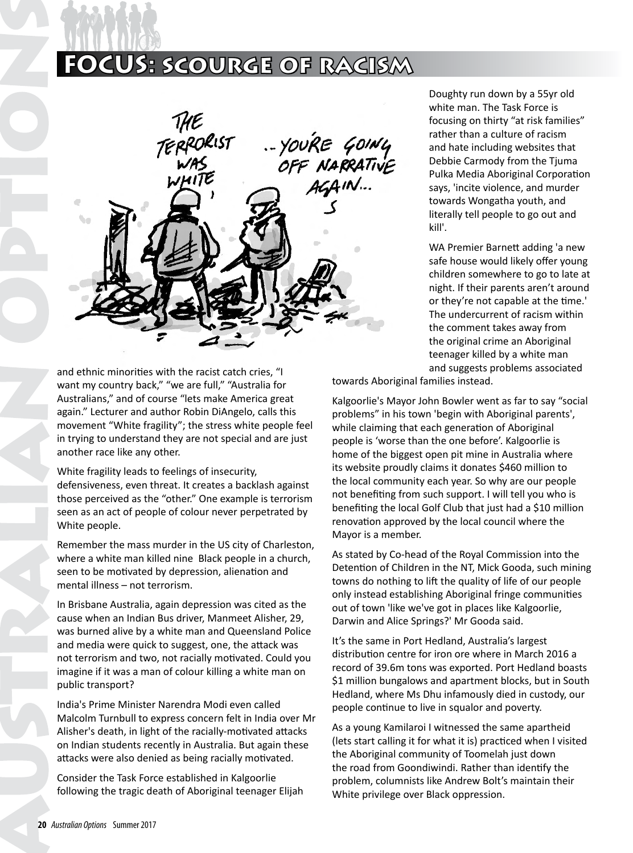### **FOCUS: scourge of racism**



and ethnic minorities with the racist catch cries, "I want my country back," "we are full," "Australia for Australians," and of course "lets make America great again." Lecturer and author Robin DiAngelo, calls this movement "White fragility"; the stress white people feel in trying to understand they are not special and are just another race like any other.

White fragility leads to feelings of insecurity, defensiveness, even threat. It creates a backlash against those perceived as the "other." One example is terrorism seen as an act of people of colour never perpetrated by White people.

Remember the mass murder in the US city of Charleston, where a white man killed nine Black people in a church, seen to be motivated by depression, alienation and mental illness – not terrorism.

In Brisbane Australia, again depression was cited as the cause when an Indian Bus driver, Manmeet Alisher, 29, was burned alive by a white man and Queensland Police and media were quick to suggest, one, the attack was not terrorism and two, not racially motivated. Could you imagine if it was a man of colour killing a white man on public transport?

India's Prime Minister Narendra Modi even called Malcolm Turnbull to express concern felt in India over Mr Alisher's death, in light of the racially-motivated attacks on Indian students recently in Australia. But again these attacks were also denied as being racially motivated.

Consider the Task Force established in Kalgoorlie following the tragic death of Aboriginal teenager Elijah

Doughty run down by a 55yr old white man. The Task Force is focusing on thirty "at risk families" rather than a culture of racism and hate including websites that Debbie Carmody from the Tjuma Pulka Media Aboriginal Corporation says, 'incite violence, and murder towards Wongatha youth, and literally tell people to go out and kill'.

WA Premier Barnett adding 'a new safe house would likely offer young children somewhere to go to late at night. If their parents aren't around or they're not capable at the time.' The undercurrent of racism within the comment takes away from the original crime an Aboriginal teenager killed by a white man and suggests problems associated

towards Aboriginal families instead.

Kalgoorlie's Mayor John Bowler went as far to say "social problems" in his town 'begin with Aboriginal parents', while claiming that each generation of Aboriginal people is 'worse than the one before'. Kalgoorlie is home of the biggest open pit mine in Australia where its website proudly claims it donates \$460 million to the local community each year. So why are our people not benefiting from such support. I will tell you who is benefiting the local Golf Club that just had a \$10 million renovation approved by the local council where the Mayor is a member.

As stated by Co-head of the Royal Commission into the Detention of Children in the NT, Mick Gooda, such mining towns do nothing to lift the quality of life of our people only instead establishing Aboriginal fringe communities out of town 'like we've got in places like Kalgoorlie, Darwin and Alice Springs?' Mr Gooda said.

It's the same in Port Hedland, Australia's largest distribution centre for iron ore where in March 2016 a record of 39.6m tons was exported. Port Hedland boasts \$1 million bungalows and apartment blocks, but in South Hedland, where Ms Dhu infamously died in custody, our people continue to live in squalor and poverty.

As a young Kamilaroi I witnessed the same apartheid (lets start calling it for what it is) practiced when I visited the Aboriginal community of Toomelah just down the road from Goondiwindi. Rather than identify the problem, columnists like Andrew Bolt's maintain their White privilege over Black oppression.